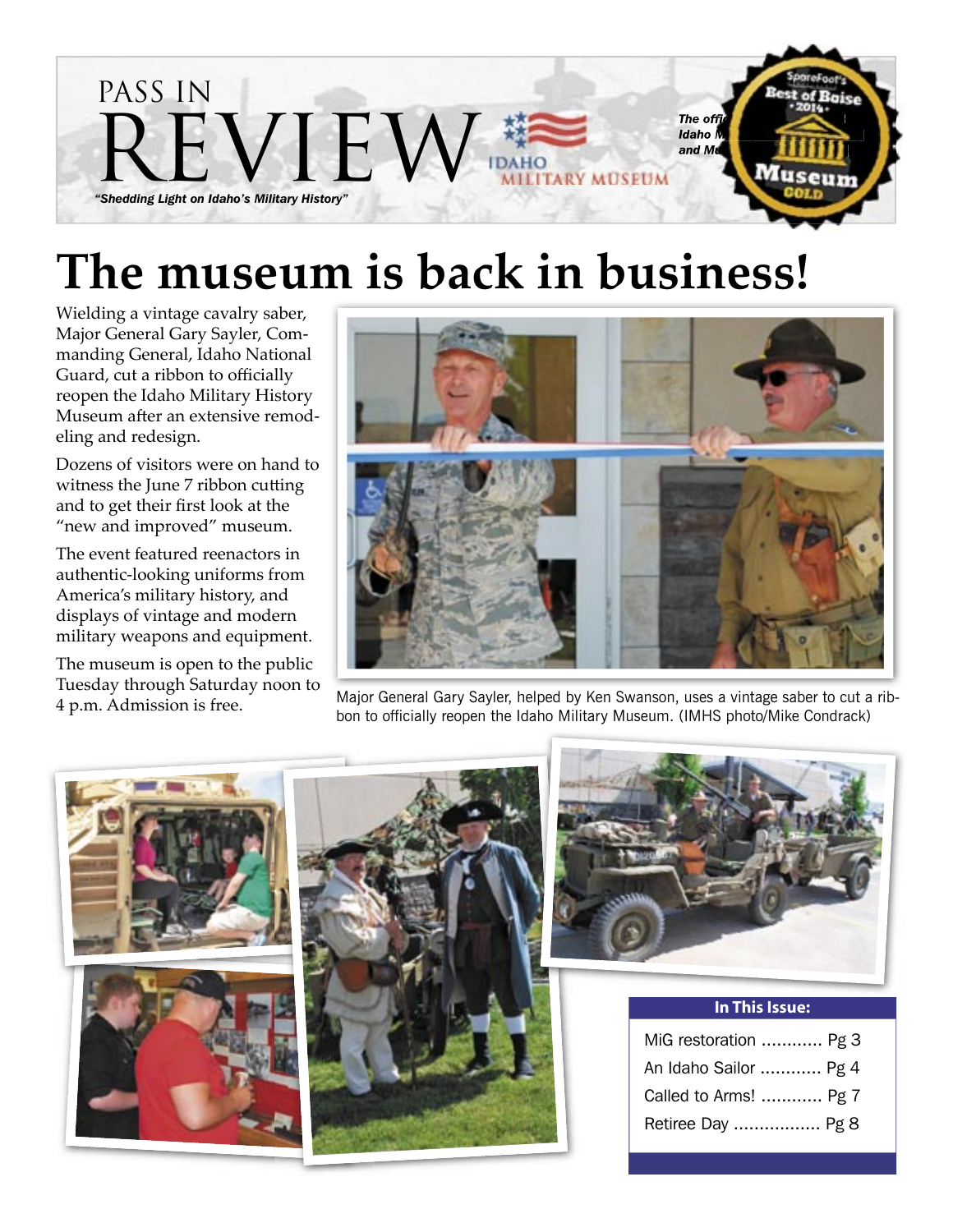

# **The museum is back in business!**

Wielding a vintage cavalry saber, Major General Gary Sayler, Commanding General, Idaho National Guard, cut a ribbon to officially reopen the Idaho Military History Museum after an extensive remodeling and redesign.

Dozens of visitors were on hand to witness the June 7 ribbon cutting and to get their first look at the "new and improved" museum.

The event featured reenactors in authentic-looking uniforms from America's military history, and displays of vintage and modern military weapons and equipment.

The museum is open to the public Tuesday through Saturday noon to 4 p.m. Admission is free.



Major General Gary Sayler, helped by Ken Swanson, uses a vintage saber to cut a ribbon to officially reopen the Idaho Military Museum. (IMHS photo/Mike Condrack)





| In This Issue:        |  |
|-----------------------|--|
| MiG restoration  Pg 3 |  |
| An Idaho Sailor  Pg 4 |  |
| Called to Arms!  Pg 7 |  |
| Retiree Day  Pg 8     |  |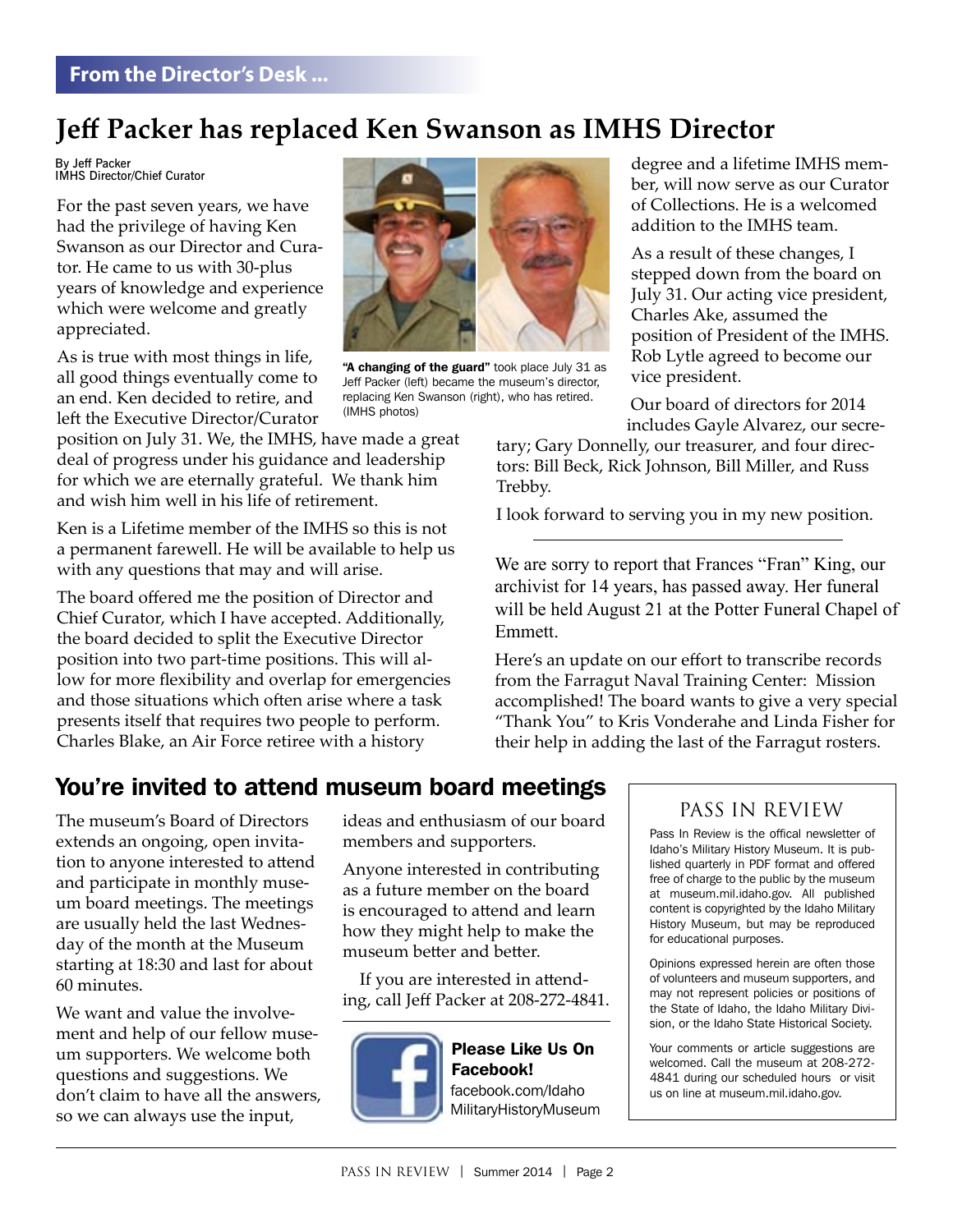## **Jeff Packer has replaced Ken Swanson as IMHS Director**

By Jeff Packer IMHS Director/Chief Curator

For the past seven years, we have had the privilege of having Ken Swanson as our Director and Curator. He came to us with 30-plus years of knowledge and experience which were welcome and greatly appreciated.

As is true with most things in life, all good things eventually come to an end. Ken decided to retire, and left the Executive Director/Curator

position on July 31. We, the IMHS, have made a great deal of progress under his guidance and leadership for which we are eternally grateful. We thank him and wish him well in his life of retirement.

Ken is a Lifetime member of the IMHS so this is not a permanent farewell. He will be available to help us with any questions that may and will arise.

The board offered me the position of Director and Chief Curator, which I have accepted. Additionally, the board decided to split the Executive Director position into two part-time positions. This will allow for more flexibility and overlap for emergencies and those situations which often arise where a task presents itself that requires two people to perform. Charles Blake, an Air Force retiree with a history



"A changing of the guard" took place July 31 as Jeff Packer (left) became the museum's director, replacing Ken Swanson (right), who has retired. (IMHS photos)

degree and a lifetime IMHS member, will now serve as our Curator of Collections. He is a welcomed addition to the IMHS team.

As a result of these changes, I stepped down from the board on July 31. Our acting vice president, Charles Ake, assumed the position of President of the IMHS. Rob Lytle agreed to become our vice president.

 Our board of directors for 2014 includes Gayle Alvarez, our secre-

tary; Gary Donnelly, our treasurer, and four directors: Bill Beck, Rick Johnson, Bill Miller, and Russ Trebby.

I look forward to serving you in my new position.

We are sorry to report that Frances "Fran" King, our archivist for 14 years, has passed away. Her funeral will be held August 21 at the Potter Funeral Chapel of Emmett.

Here's an update on our effort to transcribe records from the Farragut Naval Training Center: Mission accomplished! The board wants to give a very special "Thank You" to Kris Vonderahe and Linda Fisher for their help in adding the last of the Farragut rosters.

## You're invited to attend museum board meetings

The museum's Board of Directors extends an ongoing, open invitation to anyone interested to attend and participate in monthly museum board meetings. The meetings are usually held the last Wednesday of the month at the Museum starting at 18:30 and last for about 60 minutes.

We want and value the involvement and help of our fellow museum supporters. We welcome both questions and suggestions. We don't claim to have all the answers, so we can always use the input,

ideas and enthusiasm of our board members and supporters.

Anyone interested in contributing as a future member on the board is encouraged to attend and learn how they might help to make the museum better and better.

If you are interested in attending, call Jeff Packer at 208-272-4841.



#### Please Like Us On Facebook! facebook.com/Idah facebook.com/Idaho ocpoon.com/naano<br>Jitary LieteryMuseu MilitaryHistoryMuseum<br>.

## PASS IN REVIEW

Pass In Review is the offical newsletter of Idaho's Military History Museum. It is published quarterly in PDF format and offered free of charge to the public by the museum at museum.mil.idaho.gov. All published content is copyrighted by the Idaho Military History Museum, but may be reproduced for educational purposes.

Opinions expressed herein are often those of volunteers and museum supporters, and may not represent policies or positions of the State of Idaho, the Idaho Military Division, or the Idaho State Historical Society.

Your comments or article suggestions are welcomed. Call the museum at 208-272- 4841 during our scheduled hours or visit us on line at museum.mil.idaho.gov.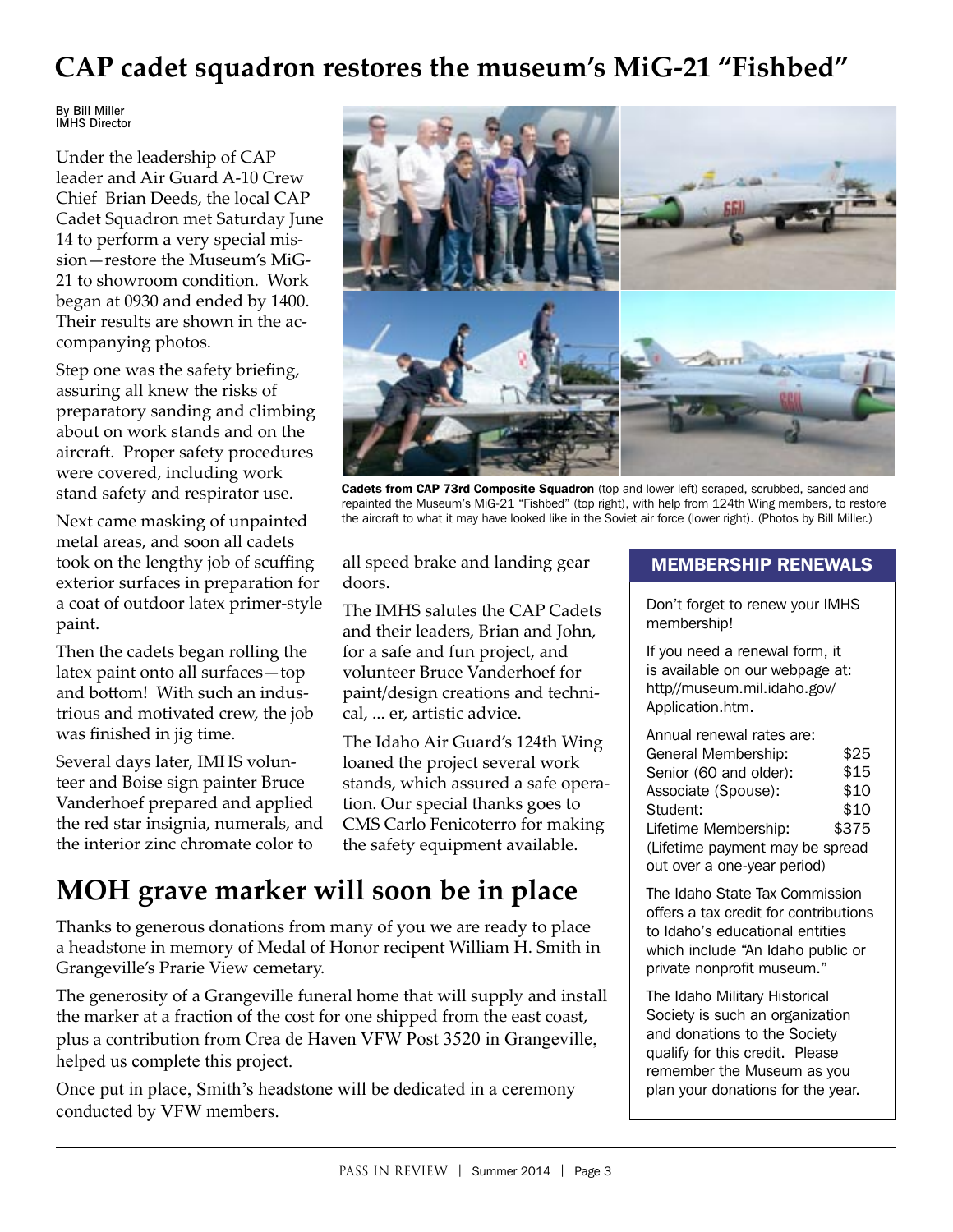## **CAP cadet squadron restores the museum's MiG-21 "Fishbed"**

By Bill Miller IMHS Director

Under the leadership of CAP leader and Air Guard A-10 Crew Chief Brian Deeds, the local CAP Cadet Squadron met Saturday June 14 to perform a very special mission—restore the Museum's MiG-21 to showroom condition. Work began at 0930 and ended by 1400. Their results are shown in the accompanying photos.

Step one was the safety briefing, assuring all knew the risks of preparatory sanding and climbing about on work stands and on the aircraft. Proper safety procedures were covered, including work stand safety and respirator use.

Next came masking of unpainted metal areas, and soon all cadets took on the lengthy job of scuffing exterior surfaces in preparation for a coat of outdoor latex primer-style paint.

Then the cadets began rolling the latex paint onto all surfaces—top and bottom! With such an industrious and motivated crew, the job was finished in jig time.

Several days later, IMHS volunteer and Boise sign painter Bruce Vanderhoef prepared and applied the red star insignia, numerals, and the interior zinc chromate color to



Cadets from CAP 73rd Composite Squadron (top and lower left) scraped, scrubbed, sanded and repainted the Museum's MiG-21 "Fishbed" (top right), with help from 124th Wing members, to restore the aircraft to what it may have looked like in the Soviet air force (lower right). (Photos by Bill Miller.)

all speed brake and landing gear doors.

The IMHS salutes the CAP Cadets and their leaders, Brian and John, for a safe and fun project, and volunteer Bruce Vanderhoef for paint/design creations and technical, ... er, artistic advice.

The Idaho Air Guard's 124th Wing loaned the project several work stands, which assured a safe operation. Our special thanks goes to CMS Carlo Fenicoterro for making the safety equipment available.

## **MOH grave marker will soon be in place**

Thanks to generous donations from many of you we are ready to place a headstone in memory of Medal of Honor recipent William H. Smith in Grangeville's Prarie View cemetary.

The generosity of a Grangeville funeral home that will supply and install the marker at a fraction of the cost for one shipped from the east coast, plus a contribution from Crea de Haven VFW Post 3520 in Grangeville, helped us complete this project.

Once put in place, Smith's headstone will be dedicated in a ceremony conducted by VFW members.

### MEMBERSHIP RENEWALS

Don't forget to renew your IMHS membership!

If you need a renewal form, it is available on our webpage at: http//museum.mil.idaho.gov/ Application.htm.

Annual renewal rates are: General Membership: Senior (60 and older): Associate (Spouse): Student: Lifetime Membership: (Lifetime payment may be spread out over a one-year period) \$25 \$15 \$10 \$10 \$375

The Idaho State Tax Commission offers a tax credit for contributions to Idaho's educational entities which include "An Idaho public or private nonprofit museum."

The Idaho Military Historical Society is such an organization and donations to the Society qualify for this credit. Please remember the Museum as you plan your donations for the year.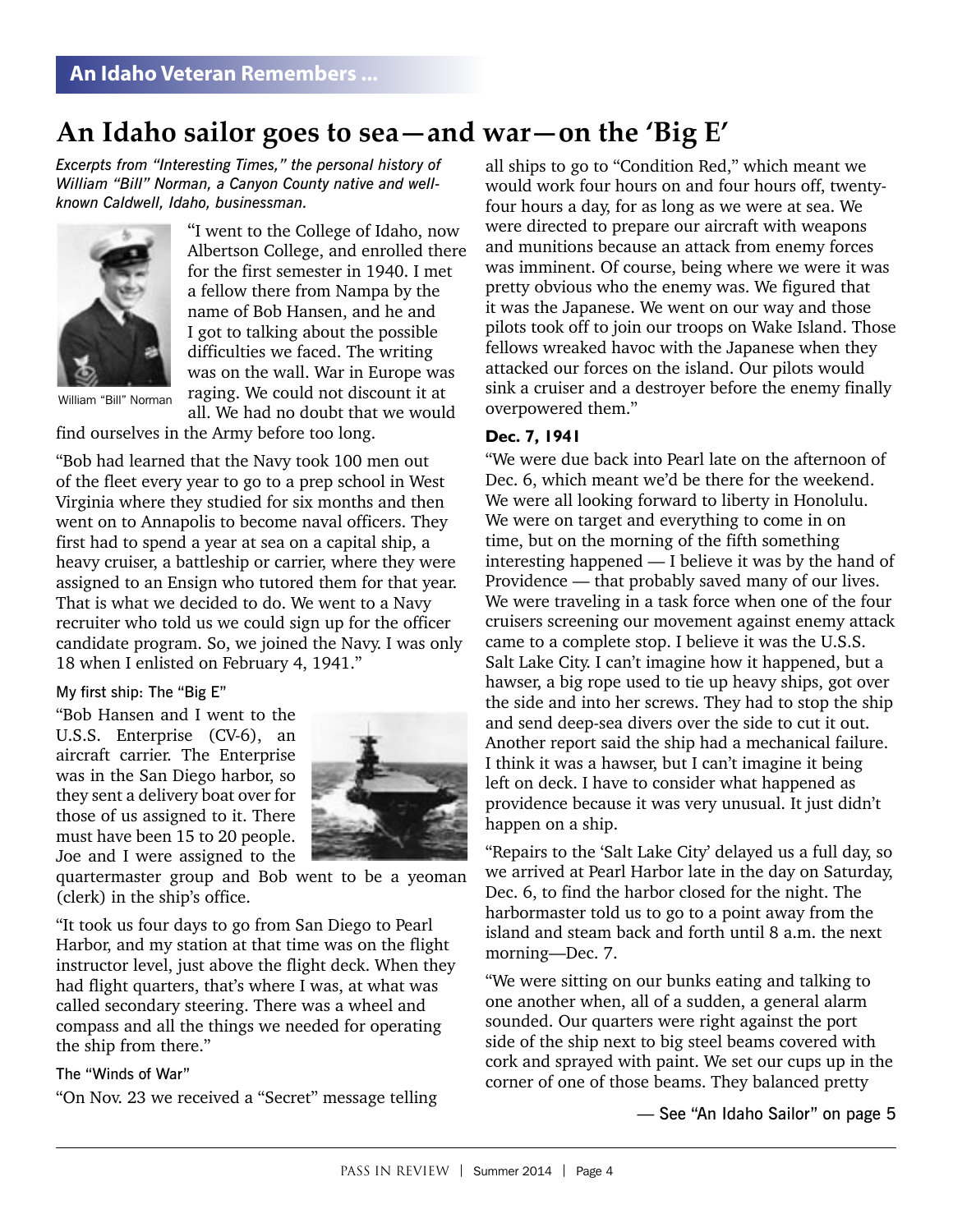## **An Idaho sailor goes to sea—and war—on the 'Big E'**

*Excerpts from "Interesting Times," the personal history of William "Bill" Norman, a Canyon County native and wellknown Caldwell, Idaho, businessman.*



"I went to the College of Idaho, now Albertson College, and enrolled there for the first semester in 1940. I met a fellow there from Nampa by the name of Bob Hansen, and he and I got to talking about the possible difficulties we faced. The writing was on the wall. War in Europe was raging. We could not discount it at all. We had no doubt that we would

find ourselves in the Army before too long.

"Bob had learned that the Navy took 100 men out of the fleet every year to go to a prep school in West Virginia where they studied for six months and then went on to Annapolis to become naval officers. They first had to spend a year at sea on a capital ship, a heavy cruiser, a battleship or carrier, where they were assigned to an Ensign who tutored them for that year. That is what we decided to do. We went to a Navy recruiter who told us we could sign up for the officer candidate program. So, we joined the Navy. I was only 18 when I enlisted on February 4, 1941."

#### My first ship: The "Big E"

"Bob Hansen and I went to the U.S.S. Enterprise (CV-6), an aircraft carrier. The Enterprise was in the San Diego harbor, so they sent a delivery boat over for those of us assigned to it. There must have been 15 to 20 people. Joe and I were assigned to the



quartermaster group and Bob went to be a yeoman (clerk) in the ship's office.

"It took us four days to go from San Diego to Pearl Harbor, and my station at that time was on the flight instructor level, just above the flight deck. When they had flight quarters, that's where I was, at what was called secondary steering. There was a wheel and compass and all the things we needed for operating the ship from there."

#### The "Winds of War"

"On Nov. 23 we received a "Secret" message telling

all ships to go to "Condition Red," which meant we would work four hours on and four hours off, twentyfour hours a day, for as long as we were at sea. We were directed to prepare our aircraft with weapons and munitions because an attack from enemy forces was imminent. Of course, being where we were it was pretty obvious who the enemy was. We figured that it was the Japanese. We went on our way and those pilots took off to join our troops on Wake Island. Those fellows wreaked havoc with the Japanese when they attacked our forces on the island. Our pilots would sink a cruiser and a destroyer before the enemy finally overpowered them."

### **Dec. 7, 1941**

"We were due back into Pearl late on the afternoon of Dec. 6, which meant we'd be there for the weekend. We were all looking forward to liberty in Honolulu. We were on target and everything to come in on time, but on the morning of the fifth something interesting happened — I believe it was by the hand of Providence — that probably saved many of our lives. We were traveling in a task force when one of the four cruisers screening our movement against enemy attack came to a complete stop. I believe it was the U.S.S. Salt Lake City. I can't imagine how it happened, but a hawser, a big rope used to tie up heavy ships, got over the side and into her screws. They had to stop the ship and send deep-sea divers over the side to cut it out. Another report said the ship had a mechanical failure. I think it was a hawser, but I can't imagine it being left on deck. I have to consider what happened as providence because it was very unusual. It just didn't happen on a ship.

"Repairs to the 'Salt Lake City' delayed us a full day, so we arrived at Pearl Harbor late in the day on Saturday, Dec. 6, to find the harbor closed for the night. The harbormaster told us to go to a point away from the island and steam back and forth until 8 a.m. the next morning—Dec. 7.

"We were sitting on our bunks eating and talking to one another when, all of a sudden, a general alarm sounded. Our quarters were right against the port side of the ship next to big steel beams covered with cork and sprayed with paint. We set our cups up in the corner of one of those beams. They balanced pretty

— See "An Idaho Sailor" on page 5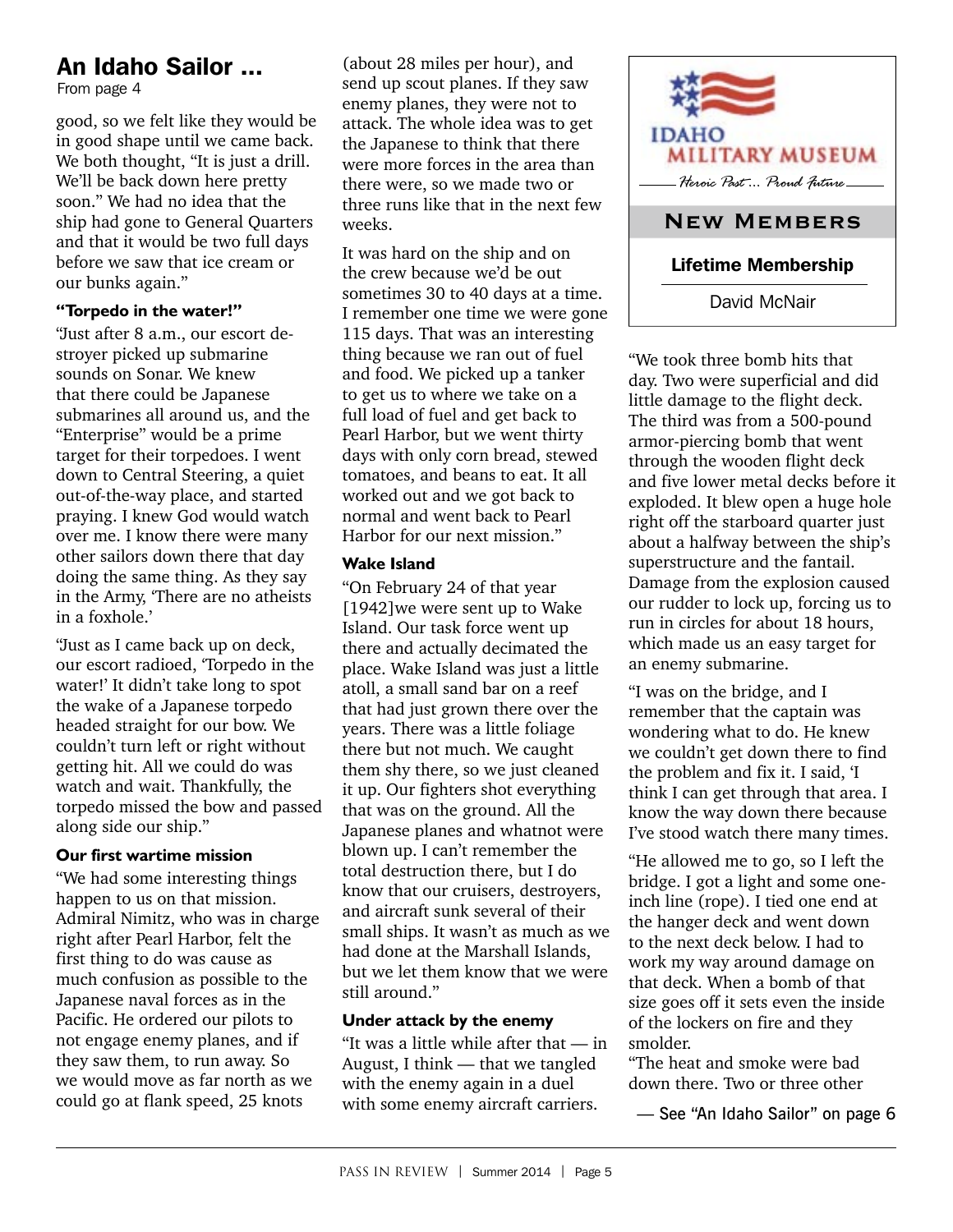## An Idaho Sailor ...

From page 4

good, so we felt like they would be in good shape until we came back. We both thought, "It is just a drill. We'll be back down here pretty soon." We had no idea that the ship had gone to General Quarters and that it would be two full days before we saw that ice cream or our bunks again."

#### **"Torpedo in the water!"**

"Just after 8 a.m., our escort destroyer picked up submarine sounds on Sonar. We knew that there could be Japanese submarines all around us, and the "Enterprise" would be a prime target for their torpedoes. I went down to Central Steering, a quiet out-of-the-way place, and started praying. I knew God would watch over me. I know there were many other sailors down there that day doing the same thing. As they say in the Army, 'There are no atheists in a foxhole.'

"Just as I came back up on deck, our escort radioed, 'Torpedo in the water!' It didn't take long to spot the wake of a Japanese torpedo headed straight for our bow. We couldn't turn left or right without getting hit. All we could do was watch and wait. Thankfully, the torpedo missed the bow and passed along side our ship."

### **Our first wartime mission**

"We had some interesting things happen to us on that mission. Admiral Nimitz, who was in charge right after Pearl Harbor, felt the first thing to do was cause as much confusion as possible to the Japanese naval forces as in the Pacific. He ordered our pilots to not engage enemy planes, and if they saw them, to run away. So we would move as far north as we could go at flank speed, 25 knots

(about 28 miles per hour), and send up scout planes. If they saw enemy planes, they were not to attack. The whole idea was to get the Japanese to think that there were more forces in the area than there were, so we made two or three runs like that in the next few weeks.

It was hard on the ship and on the crew because we'd be out sometimes 30 to 40 days at a time. I remember one time we were gone 115 days. That was an interesting thing because we ran out of fuel and food. We picked up a tanker to get us to where we take on a full load of fuel and get back to Pearl Harbor, but we went thirty days with only corn bread, stewed tomatoes, and beans to eat. It all worked out and we got back to normal and went back to Pearl Harbor for our next mission."

### **Wake Island**

"On February 24 of that year [1942] we were sent up to Wake Island. Our task force went up there and actually decimated the place. Wake Island was just a little atoll, a small sand bar on a reef that had just grown there over the years. There was a little foliage there but not much. We caught them shy there, so we just cleaned it up. Our fighters shot everything that was on the ground. All the Japanese planes and whatnot were blown up. I can't remember the total destruction there, but I do know that our cruisers, destroyers, and aircraft sunk several of their small ships. It wasn't as much as we had done at the Marshall Islands, but we let them know that we were still around."

### **Under attack by the enemy**

"It was a little while after that — in August, I think — that we tangled with the enemy again in a duel with some enemy aircraft carriers.



"We took three bomb hits that day. Two were superficial and did little damage to the flight deck. The third was from a 500-pound armor-piercing bomb that went through the wooden flight deck and five lower metal decks before it exploded. It blew open a huge hole right off the starboard quarter just about a halfway between the ship's superstructure and the fantail. Damage from the explosion caused our rudder to lock up, forcing us to run in circles for about 18 hours, which made us an easy target for an enemy submarine.

"I was on the bridge, and I remember that the captain was wondering what to do. He knew we couldn't get down there to find the problem and fix it. I said, 'I think I can get through that area. I know the way down there because I've stood watch there many times.

"He allowed me to go, so I left the bridge. I got a light and some oneinch line (rope). I tied one end at the hanger deck and went down to the next deck below. I had to work my way around damage on that deck. When a bomb of that size goes off it sets even the inside of the lockers on fire and they smolder.

"The heat and smoke were bad down there. Two or three other

— See "An Idaho Sailor" on page 6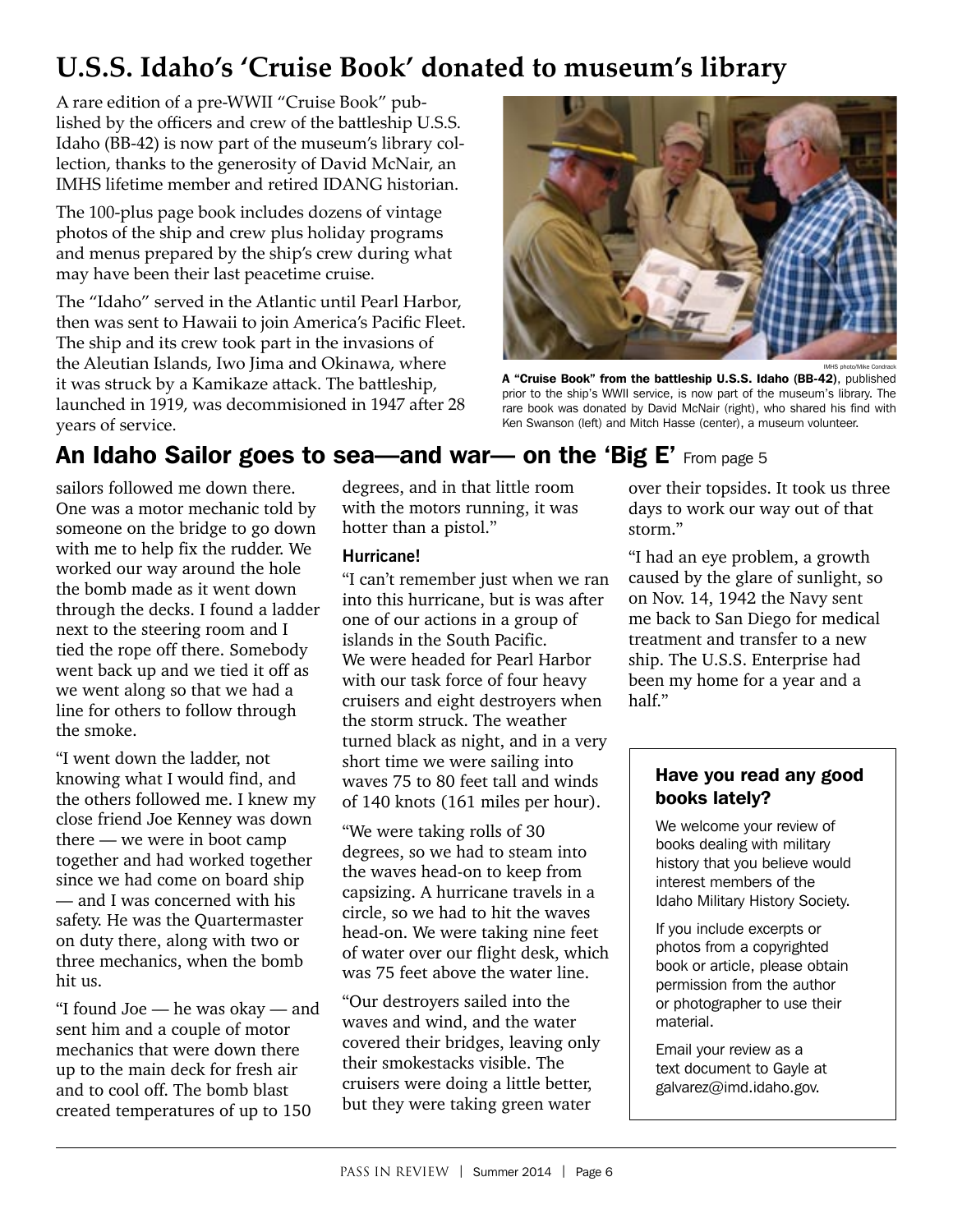## **U.S.S. Idaho's 'Cruise Book' donated to museum's library**

A rare edition of a pre-WWII "Cruise Book" published by the officers and crew of the battleship U.S.S. Idaho (BB-42) is now part of the museum's library collection, thanks to the generosity of David McNair, an IMHS lifetime member and retired IDANG historian.

The 100-plus page book includes dozens of vintage photos of the ship and crew plus holiday programs and menus prepared by the ship's crew during what may have been their last peacetime cruise.

The "Idaho" served in the Atlantic until Pearl Harbor, then was sent to Hawaii to join America's Pacific Fleet. The ship and its crew took part in the invasions of the Aleutian Islands, Iwo Jima and Okinawa, where it was struck by a Kamikaze attack. The battleship, launched in 1919, was decommisioned in 1947 after 28 years of service.



A "Cruise Book" from the battleship U.S.S. Idaho (BB-42), published prior to the ship's WWII service, is now part of the museum's library. The rare book was donated by David McNair (right), who shared his find with Ken Swanson (left) and Mitch Hasse (center), a museum volunteer.

## An Idaho Sailor goes to sea—and war— on the 'Big E' From page 5

sailors followed me down there. One was a motor mechanic told by someone on the bridge to go down with me to help fix the rudder. We worked our way around the hole the bomb made as it went down through the decks. I found a ladder next to the steering room and I tied the rope off there. Somebody went back up and we tied it off as we went along so that we had a line for others to follow through the smoke.

"I went down the ladder, not knowing what I would find, and the others followed me. I knew my close friend Joe Kenney was down there — we were in boot camp together and had worked together since we had come on board ship — and I was concerned with his safety. He was the Quartermaster on duty there, along with two or three mechanics, when the bomb hit us.

"I found Joe — he was okay — and sent him and a couple of motor mechanics that were down there up to the main deck for fresh air and to cool off. The bomb blast created temperatures of up to 150

degrees, and in that little room with the motors running, it was hotter than a pistol."

### **Hurricane!**

"I can't remember just when we ran into this hurricane, but is was after one of our actions in a group of islands in the South Pacific. We were headed for Pearl Harbor with our task force of four heavy cruisers and eight destroyers when the storm struck. The weather turned black as night, and in a very short time we were sailing into waves 75 to 80 feet tall and winds of 140 knots (161 miles per hour).

"We were taking rolls of 30 degrees, so we had to steam into the waves head-on to keep from capsizing. A hurricane travels in a circle, so we had to hit the waves head-on. We were taking nine feet of water over our flight desk, which was 75 feet above the water line.

"Our destroyers sailed into the waves and wind, and the water covered their bridges, leaving only their smokestacks visible. The cruisers were doing a little better, but they were taking green water

over their topsides. It took us three days to work our way out of that storm."

"I had an eye problem, a growth caused by the glare of sunlight, so on Nov. 14, 1942 the Navy sent me back to San Diego for medical treatment and transfer to a new ship. The U.S.S. Enterprise had been my home for a year and a half."

### Have you read any good books lately?

We welcome your review of books dealing with military history that you believe would interest members of the Idaho Military History Society.

If you include excerpts or photos from a copyrighted book or article, please obtain permission from the author or photographer to use their material.

Email your review as a text document to Gayle at galvarez@imd.idaho.gov.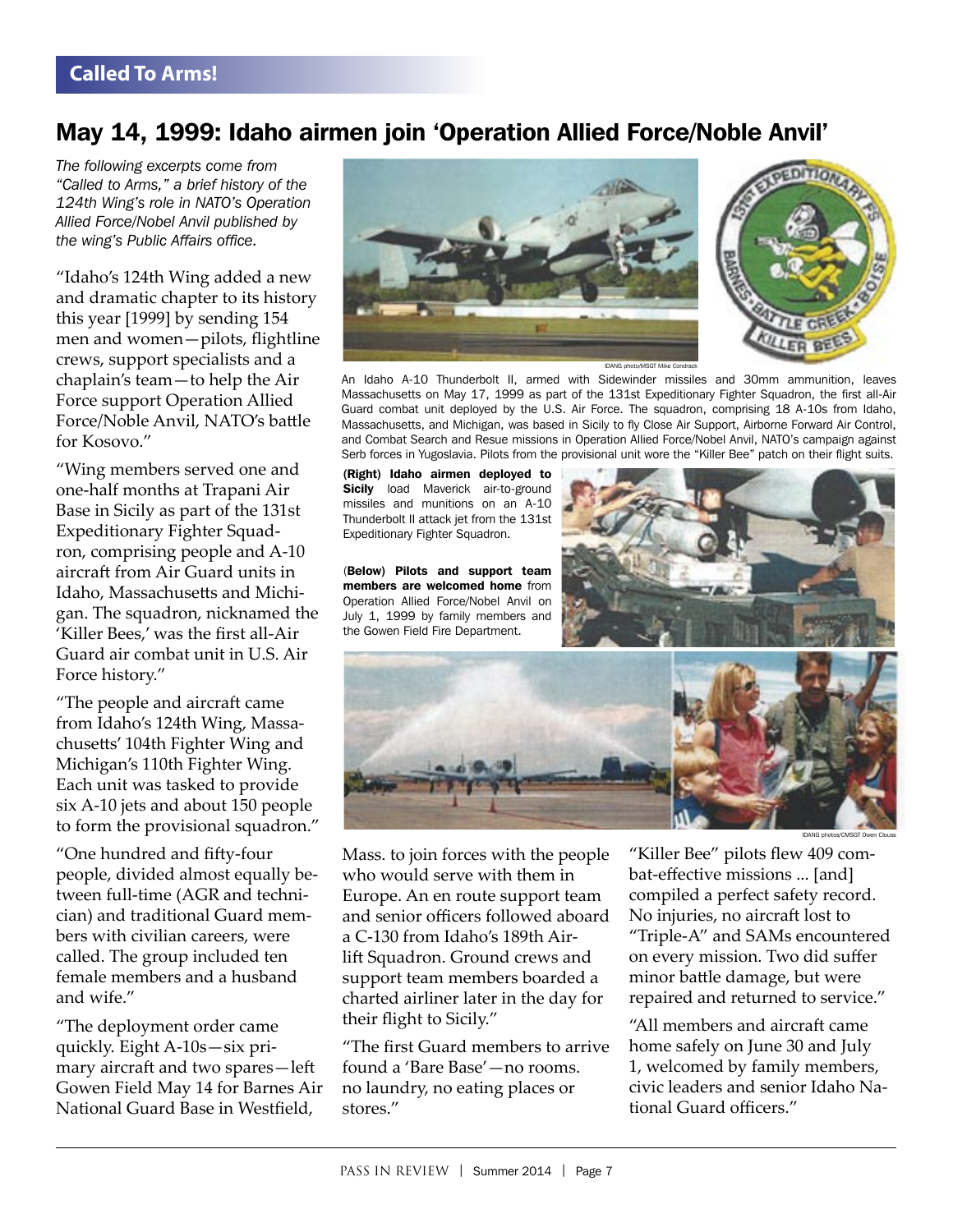## May 14, 1999: Idaho airmen join 'Operation Allied Force/Noble Anvil'

*The following excerpts come from "Called to Arms," a brief history of the 124th Wing's role in NATO's Operation Allied Force/Nobel Anvil published by the wing's Public Affairs office.*

"Idaho's 124th Wing added a new and dramatic chapter to its history this year [1999] by sending 154 men and women-pilots, flightline crews, support specialists and a chaplain's team—to help the Air Force support Operation Allied Force/Noble Anvil, NATO's battle for Kosovo."

"Wing members served one and one-half months at Trapani Air Base in Sicily as part of the 131st Expeditionary Fighter Squadron, comprising people and A-10 aircraft from Air Guard units in Idaho, Massachusetts and Michigan. The squadron, nicknamed the 'Killer Bees,' was the first all-Air Guard air combat unit in U.S. Air Force history."

"The people and aircraft came from Idaho's 124th Wing, Massachusetts' 104th Fighter Wing and Michigan's 110th Fighter Wing. Each unit was tasked to provide six A-10 jets and about 150 people to form the provisional squadron."

"One hundred and fifty-four people, divided almost equally between full-time (AGR and technician) and traditional Guard members with civilian careers, were called. The group included ten female members and a husband and wife."

"The deployment order came quickly. Eight A-10s—six primary aircraft and two spares-left Gowen Field May 14 for Barnes Air National Guard Base in Westfield,





IDANG photo/MSGT Mike Co

An Idaho A-10 Thunderbolt II, armed with Sidewinder missiles and 30mm ammunition, leaves Massachusetts on May 17, 1999 as part of the 131st Expeditionary Fighter Squadron, the first all-Air Guard combat unit deployed by the U.S. Air Force. The squadron, comprising 18 A-10s from Idaho, Massachusetts, and Michigan, was based in Sicily to fly Close Air Support, Airborne Forward Air Control, and Combat Search and Resue missions in Operation Allied Force/Nobel Anvil, NATO's campaign against Serb forces in Yugoslavia. Pilots from the provisional unit wore the "Killer Bee" patch on their flight suits.

(Right) Idaho airmen deployed to Sicily load Maverick air-to-ground missiles and munitions on an A-10 Thunderbolt II attack jet from the 131st Expeditionary Fighter Squadron.

(Below) Pilots and support team members are welcomed home from Operation Allied Force/Nobel Anvil on July 1, 1999 by family members and the Gowen Field Fire Department.





Mass. to join forces with the people who would serve with them in Europe. An en route support team and senior officers followed aboard a C-130 from Idaho's 189th Airlift Squadron. Ground crews and support team members boarded a charted airliner later in the day for their flight to Sicily."

"The first Guard members to arrive found a 'Bare Base'—no rooms. no laundry, no eating places or stores."

"Killer Bee" pilots flew 409 combat-effective missions ... [and] compiled a perfect safety record. No injuries, no aircraft lost to "Triple-A" and SAMs encountered on every mission. Two did suffer minor battle damage, but were repaired and returned to service."

"All members and aircraft came home safely on June 30 and July 1, welcomed by family members, civic leaders and senior Idaho National Guard officers."